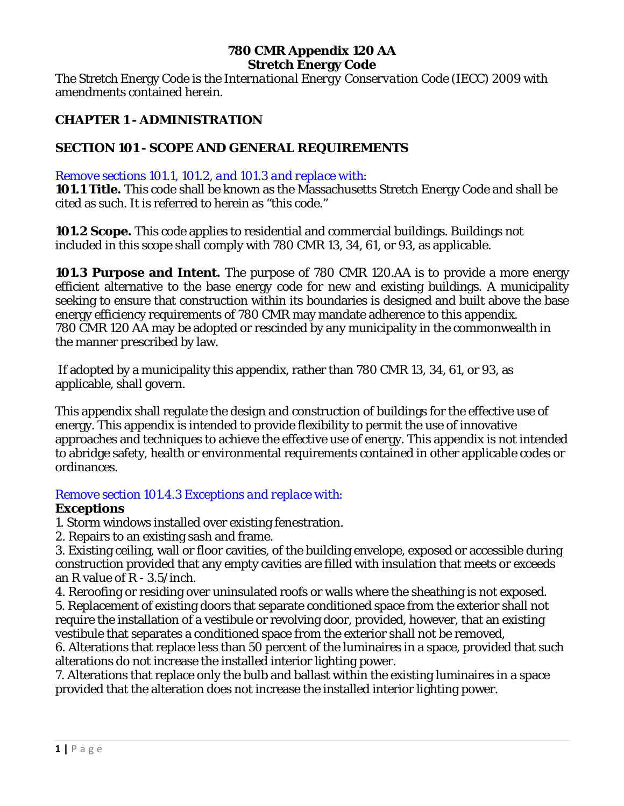## **780 CMR Appendix 120 AA Stretch Energy Code**

The Stretch Energy Code is the *International Energy Conservation Code (IECC) 2009* with amendments contained herein.

# **CHAPTER 1 - ADMINISTRATION**

# **SECTION 101 - SCOPE AND GENERAL REQUIREMENTS**

## *Remove sections 101.1, 101.2, and 101.3 and replace with:*

**101.1 Title.** This code shall be known as the Massachusetts Stretch Energy Code and shall be cited as such. It is referred to herein as "this code."

**101.2 Scope.** This code applies to residential and commercial buildings. Buildings not included in this scope shall comply with 780 CMR 13, 34, 61, or 93, as applicable.

**101.3 Purpose and Intent.** The purpose of 780 CMR 120.AA is to provide a more energy efficient alternative to the base energy code for new and existing buildings. A municipality seeking to ensure that construction within its boundaries is designed and built above the base energy efficiency requirements of 780 CMR may mandate adherence to this appendix. 780 CMR 120 AA may be adopted or rescinded by any municipality in the commonwealth in the manner prescribed by law.

If adopted by a municipality this appendix, rather than 780 CMR 13, 34, 61, or 93, as applicable, shall govern.

This appendix shall regulate the design and construction of buildings for the effective use of energy. This appendix is intended to provide flexibility to permit the use of innovative approaches and techniques to achieve the effective use of energy. This appendix is not intended to abridge safety, health or environmental requirements contained in other applicable codes or ordinances.

## *Remove section 101.4.3 Exceptions and replace with:*

## **Exceptions**

1. Storm windows installed over existing fenestration.

2. Repairs to an existing sash and frame.

3. Existing ceiling, wall or floor cavities, of the building envelope, exposed or accessible during construction provided that any empty cavities are filled with insulation that meets or exceeds an *R* value of R - 3.5/inch.

4. Reroofing or residing over uninsulated roofs or walls where the sheathing is not exposed. 5. Replacement of existing doors that separate conditioned space from the exterior shall not require the installation of a vestibule or revolving door, provided, however, that an existing vestibule that separates a conditioned space from the exterior shall not be removed,

6. Alterations that replace less than 50 percent of the luminaires in a space, provided that such alterations do not increase the installed interior lighting power.

7. Alterations that replace only the bulb and ballast within the existing luminaires in a space provided that the alteration does not increase the installed interior lighting power.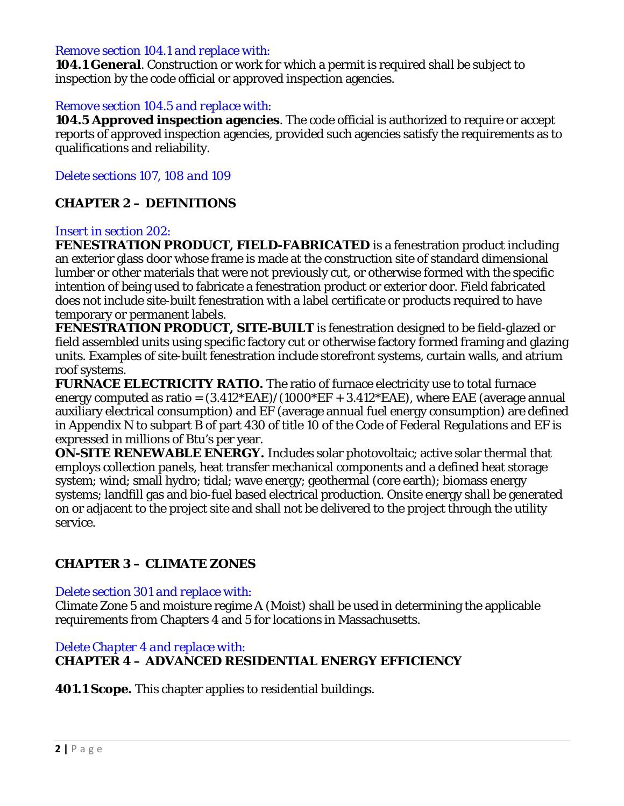#### *Remove section 104.1 and replace with:*

**104.1 General**. Construction or work for which a permit is required shall be subject to inspection by the code official or approved inspection agencies.

#### *Remove section 104.5 and replace with:*

**104.5 Approved inspection agencies**. The code official is authorized to require or accept reports of approved inspection agencies, provided such agencies satisfy the requirements as to qualifications and reliability.

## *Delete sections 107, 108 and 109*

## **CHAPTER 2 – DEFINITIONS**

#### *Insert in section 202:*

**FENESTRATION PRODUCT, FIELD-FABRICATED** is a fenestration product including an exterior glass door whose frame is made at the construction site of standard dimensional lumber or other materials that were not previously cut, or otherwise formed with the specific intention of being used to fabricate a fenestration product or exterior door. Field fabricated does not include site-built fenestration with a label certificate or products required to have temporary or permanent labels.

**FENESTRATION PRODUCT, SITE-BUILT** is fenestration designed to be field-glazed or field assembled units using specific factory cut or otherwise factory formed framing and glazing units. Examples of site-built fenestration include storefront systems, curtain walls, and atrium roof systems.

**FURNACE ELECTRICITY RATIO.** The ratio of furnace electricity use to total furnace energy computed as ratio =  $(3.412*EAE)/(1000*EF + 3.412*EAE)$ , where EAE (average annual auxiliary electrical consumption) and EF (average annual fuel energy consumption) are defined in Appendix N to subpart B of part 430 of title 10 of the Code of Federal Regulations and EF is expressed in millions of Btu's per year.

**ON-SITE RENEWABLE ENERGY.** Includes solar photovoltaic; active solar thermal that employs collection panels, heat transfer mechanical components and a defined heat storage system; wind; small hydro; tidal; wave energy; geothermal (core earth); biomass energy systems; landfill gas and bio-fuel based electrical production. Onsite energy shall be generated on or adjacent to the project site and shall not be delivered to the project through the utility service.

## **CHAPTER 3 – CLIMATE ZONES**

#### *Delete section 301 and replace with:*

Climate Zone 5 and moisture regime A (Moist) shall be used in determining the applicable requirements from Chapters 4 and 5 for locations in Massachusetts.

## *Delete Chapter 4 and replace with:* **CHAPTER 4 – ADVANCED RESIDENTIAL ENERGY EFFICIENCY**

**401.1 Scope.** This chapter applies to residential buildings.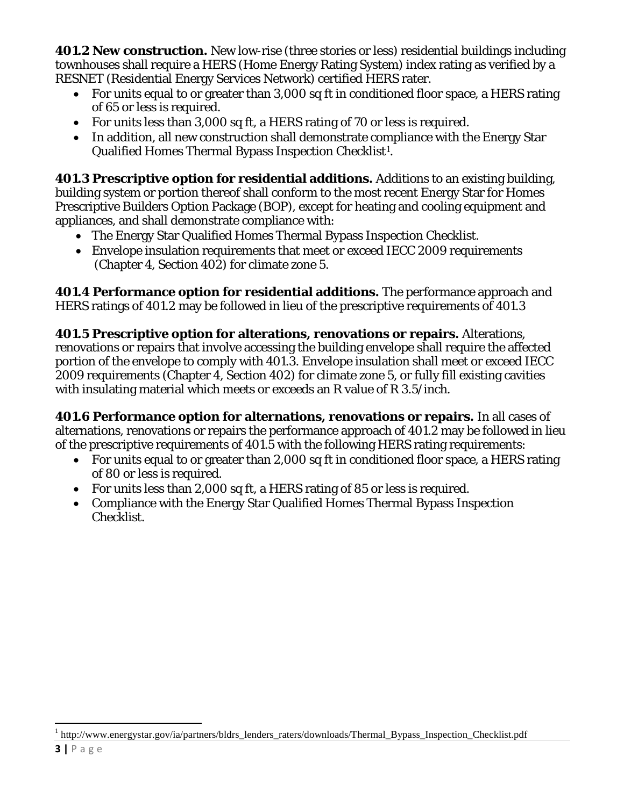**401.2 New construction.** New low-rise (three stories or less) residential buildings including townhouses shall require a HERS (Home Energy Rating System) index rating as verified by a RESNET (Residential Energy Services Network) certified HERS rater.

- For units equal to or greater than 3,000 sq ft in conditioned floor space, a HERS rating of 65 or less is required.
- For units less than 3,000 sq ft, a HERS rating of 70 or less is required.
- In addition, all new construction shall demonstrate compliance with the Energy Star Qualified Homes Thermal Bypass Inspection Checklist[1](#page-2-0).

**401.3 Prescriptive option for residential additions.** Additions to an existing building, building system or portion thereof shall conform to the most recent Energy Star for Homes Prescriptive Builders Option Package (BOP), except for heating and cooling equipment and appliances, and shall demonstrate compliance with:

- The Energy Star Qualified Homes Thermal Bypass Inspection Checklist.
- Envelope insulation requirements that meet or exceed IECC 2009 requirements (Chapter 4, Section 402) for climate zone 5.

**401.4 Performance option for residential additions.** The performance approach and HERS ratings of 401.2 may be followed in lieu of the prescriptive requirements of 401.3

**401.5 Prescriptive option for alterations, renovations or repairs.** Alterations, renovations or repairs that involve accessing the building envelope shall require the affected portion of the envelope to comply with 401.3. Envelope insulation shall meet or exceed IECC 2009 requirements (Chapter 4, Section 402) for climate zone 5, or fully fill existing cavities with insulating material which meets or exceeds an R value of R 3.5/inch.

**401.6 Performance option for alternations, renovations or repairs.** In all cases of alternations, renovations or repairs the performance approach of 401.2 may be followed in lieu of the prescriptive requirements of 401.5 with the following HERS rating requirements:

- For units equal to or greater than 2,000 sq ft in conditioned floor space, a HERS rating of 80 or less is required.
- For units less than 2,000 sq ft, a HERS rating of 85 or less is required.
- Compliance with the Energy Star Qualified Homes Thermal Bypass Inspection Checklist.

ı

<span id="page-2-0"></span><sup>&</sup>lt;sup>1</sup> http://www.energystar.gov/ia/partners/bldrs\_lenders\_raters/downloads/Thermal\_Bypass\_Inspection\_Checklist.pdf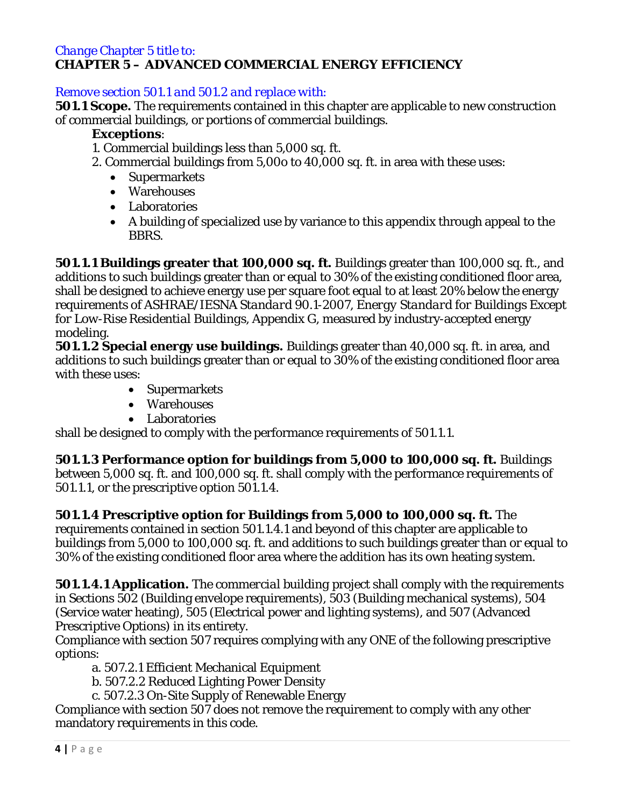#### *Change Chapter 5 title to:* **CHAPTER 5 – ADVANCED COMMERCIAL ENERGY EFFICIENCY**

## *Remove section 501.1 and 501.2 and replace with:*

**501.1 Scope.** The requirements contained in this chapter are applicable to new construction of commercial buildings, or portions of commercial buildings.

## **Exceptions**:

1. Commercial buildings less than 5,000 sq. ft.

- 2. Commercial buildings from 5,00o to 40,000 sq. ft. in area with these uses:
	- Supermarkets
	- Warehouses
	- Laboratories
	- A building of specialized use by variance to this appendix through appeal to the BBRS.

**501.1.1 Buildings greater that 100,000 sq. ft.** Buildings greater than 100,000 sq. ft., and additions to such buildings greater than or equal to 30% of the existing conditioned floor area, shall be designed to achieve energy use per square foot equal to at least 20% below the energy requirements of *ASHRAE/IESNA Standard 90.1-2007, Energy Standard for Buildings Except for Low-Rise Residential Buildings*, Appendix G, measured by industry-accepted energy modeling.

**501.1.2 Special energy use buildings.** Buildings greater than 40,000 sq. ft. in area, and additions to such buildings greater than or equal to 30% of the existing conditioned floor area with these uses:

- Supermarkets
- Warehouses
- Laboratories

shall be designed to comply with the performance requirements of 501.1.1.

**501.1.3 Performance option for buildings from 5,000 to 100,000 sq. ft.** Buildings between 5,000 sq. ft. and 100,000 sq. ft. shall comply with the performance requirements of 501.1.1, or the prescriptive option 501.1.4.

**501.1.4 Prescriptive option for Buildings from 5,000 to 100,000 sq. ft.** The requirements contained in section 501.1.4.1 and beyond of this chapter are applicable to buildings from 5,000 to 100,000 sq. ft. and additions to such buildings greater than or equal to 30% of the existing conditioned floor area where the addition has its own heating system.

**501.1.4.1 Application.** The *commercial building* project shall comply with the requirements in Sections 502 (Building envelope requirements), 503 (Building mechanical systems), 504 (Service water heating), 505 (Electrical power and lighting systems), and 507 (Advanced Prescriptive Options) in its entirety.

Compliance with section 507 requires complying with any ONE of the following prescriptive options:

a. 507.2.1 Efficient Mechanical Equipment

b. 507.2.2 Reduced Lighting Power Density

c. 507.2.3 On-Site Supply of Renewable Energy

Compliance with section 507 does not remove the requirement to comply with any other mandatory requirements in this code.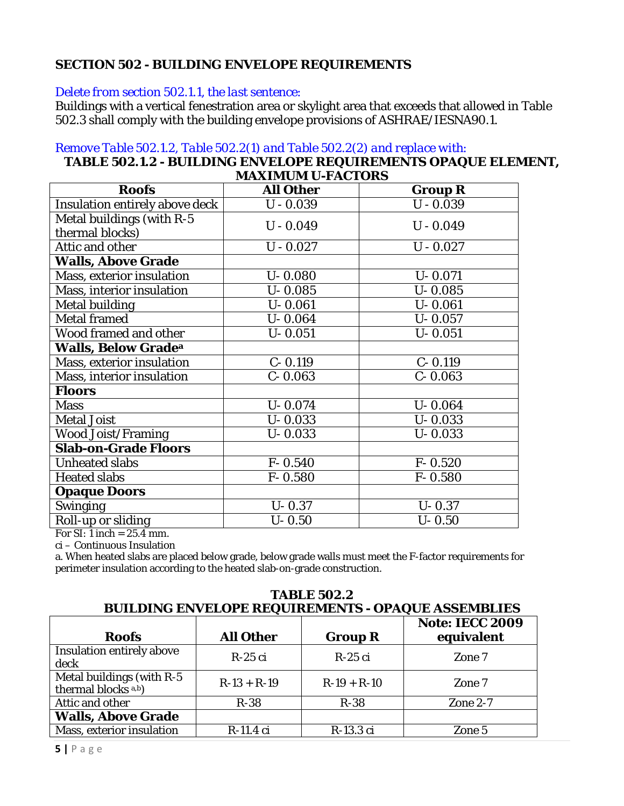# **SECTION 502 - BUILDING ENVELOPE REQUIREMENTS**

#### *Delete from section 502.1.1, the last sentence:*

Buildings with a vertical fenestration area or skylight area that exceeds that allowed in Table 502.3 shall comply with the building envelope provisions of ASHRAE/IESNA90.1.

## *Remove Table 502.1.2, Table 502.2(1) and Table 502.2(2) and replace with:*

#### **TABLE 502.1.2 - BUILDING ENVELOPE REQUIREMENTS OPAQUE ELEMENT, MAXIMUM U-FACTORS**

| <b>Roofs</b>                   | <b>All Other</b> | <b>Group R</b> |
|--------------------------------|------------------|----------------|
| Insulation entirely above deck | $U - 0.039$      | $U - 0.039$    |
| Metal buildings (with R-5      | $U - 0.049$      | $U - 0.049$    |
| thermal blocks)                |                  |                |
| Attic and other                | $U - 0.027$      | $U - 0.027$    |
| <b>Walls, Above Grade</b>      |                  |                |
| Mass, exterior insulation      | $U - 0.080$      | $U - 0.071$    |
| Mass, interior insulation      | $U - 0.085$      | $U - 0.085$    |
| <b>Metal building</b>          | $U - 0.061$      | $U - 0.061$    |
| <b>Metal framed</b>            | $U - 0.064$      | $U - 0.057$    |
| <b>Wood framed and other</b>   | $U - 0.051$      | $U - 0.051$    |
| <b>Walls, Below Gradea</b>     |                  |                |
| Mass, exterior insulation      | $C - 0.119$      | $C - 0.119$    |
| Mass, interior insulation      | $C - 0.063$      | $C - 0.063$    |
| <b>Floors</b>                  |                  |                |
| <b>Mass</b>                    | $U - 0.074$      | $U - 0.064$    |
| <b>Metal Joist</b>             | $U - 0.033$      | $U - 0.033$    |
| <b>Wood Joist/Framing</b>      | $U - 0.033$      | $U - 0.033$    |
| <b>Slab-on-Grade Floors</b>    |                  |                |
| <b>Unheated slabs</b>          | $F - 0.540$      | $F - 0.520$    |
| <b>Heated slabs</b>            | $F - 0.580$      | $F - 0.580$    |
| <b>Opaque Doors</b>            |                  |                |
| <b>Swinging</b>                | $U - 0.37$       | $U - 0.37$     |
| Roll-up or sliding             | $U - 0.50$       | $U - 0.50$     |

For SI: 1 inch  $= 25.4$  mm.

ci – Continuous Insulation

a. When heated slabs are placed below grade, below grade walls must meet the F-factor requirements for perimeter insulation according to the heated slab-on-grade construction.

#### **BUILDING ENVELOPE REQUIREMENTS - OPAQUE ASSEMBLIES Roofs All Other Group R Note: IECC 2009 equivalent** Insulation entirely above  $\begin{array}{c|c|c|c|c} \text{h.s} \end{array}$  R-25 ci  $\begin{array}{c|c|c} \text{R-25 ci} & \text{R-25 ci} & \text{Zone 7} \end{array}$ Metal buildings (with R-5 thermal blocks a,b)  $R-13 + R-19$   $R-19 + R-10$  Zone 7 Attic and other R-38 R-38 R-38 Zone 2-7 **Walls, Above Grade** Mass, exterior insulation R-11.4 ci R-13.3 ci Zone 5

**TABLE 502.2**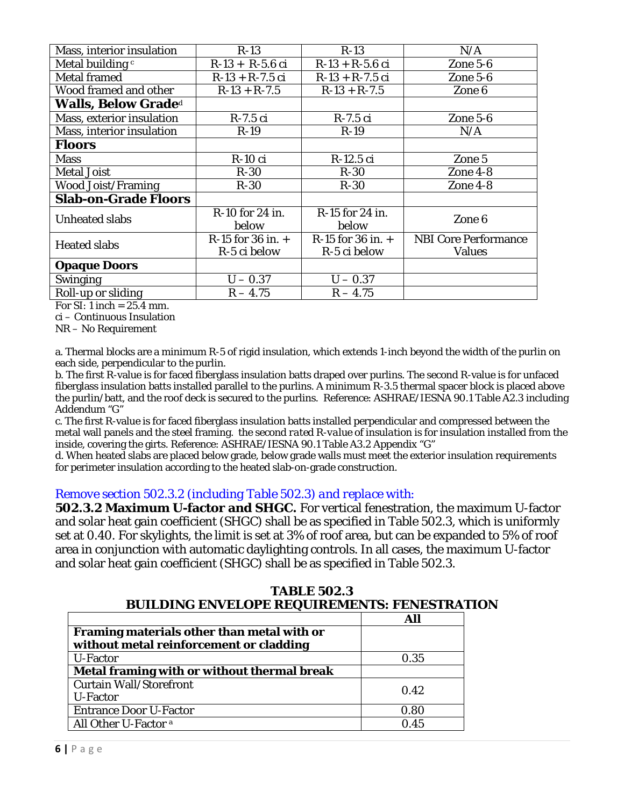| Mass, interior insulation   | $R-13$                   | $R-13$                   | N/A                         |
|-----------------------------|--------------------------|--------------------------|-----------------------------|
| Metal building c            | $R-13 + R-5.6$ ci        | $R-13 + R-5.6$ ci        | Zone 5-6                    |
| <b>Metal framed</b>         | $R-13 + R-7.5$ ci        | $R-13 + R-7.5$ ci        | Zone $5-6$                  |
| Wood framed and other       | $R-13 + R-7.5$           | $R-13 + R-7.5$           | Zone 6                      |
| <b>Walls, Below Graded</b>  |                          |                          |                             |
| Mass, exterior insulation   | $R-7.5$ ci               | $R-7.5$ ci               | Zone $5-6$                  |
| Mass, interior insulation   | $R-19$                   | $R-19$                   | N/A                         |
| Floors                      |                          |                          |                             |
| <b>Mass</b>                 | $R-10$ ci                | R-12.5 ci                | Zone 5                      |
| <b>Metal Joist</b>          | $R-30$                   | $R-30$                   | Zone 4-8                    |
| <b>Wood Joist/Framing</b>   | $R-30$                   | $R-30$                   | Zone 4-8                    |
| <b>Slab-on-Grade Floors</b> |                          |                          |                             |
| <b>Unheated slabs</b>       | R-10 for 24 in.<br>below | R-15 for 24 in.<br>below | Zone 6                      |
| <b>Heated slabs</b>         | $R-15$ for 36 in. $+$    | $R-15$ for 36 in. $+$    | <b>NBI</b> Core Performance |
|                             | R-5 ci below             | R-5 ci below             | <b>Values</b>               |
| <b>Opaque Doors</b>         |                          |                          |                             |
| <b>Swinging</b>             | $U - 0.37$               | $U - 0.37$               |                             |
| Roll-up or sliding          | $R - 4.75$               | $R - 4.75$               |                             |

For SI: 1 inch  $= 25.4$  mm.

ci – Continuous Insulation

NR – No Requirement

a. Thermal blocks are a minimum R-5 of rigid insulation, which extends 1-inch beyond the width of the purlin on each side, perpendicular to the purlin.

b. The first R-value is for faced fiberglass insulation batts draped over purlins. The second R-value is for unfaced fiberglass insulation batts installed parallel to the purlins. A minimum R-3.5 thermal spacer block is placed above the purlin/batt, and the roof deck is secured to the purlins. Reference: ASHRAE/IESNA 90.1 Table A2.3 including Addendum "G"

c. The first R-value is for faced fiberglass insulation batts installed perpendicular and compressed between the metal wall panels and the steel framing. the second *rated R-value of insulation* is for insulation installed from the inside, covering the girts. Reference: ASHRAE/IESNA 90.1 Table A3.2 Appendix "G"

d. When heated slabs are placed below grade, below grade walls must meet the exterior insulation requirements for perimeter insulation according to the heated slab-on-grade construction.

#### *Remove section 502.3.2 (including Table 502.3) and replace with:*

**502.3.2 Maximum** *U-***factor and SHGC.** For vertical fenestration, the maximum *U-*factor and solar heat gain coefficient (SHGC) shall be as specified in Table 502.3, which is uniformly set at 0.40. For skylights, the limit is set at 3% of roof area, but can be expanded to 5% of roof area in conjunction with automatic daylighting controls. In all cases, the maximum *U-*factor and solar heat gain coefficient (SHGC) shall be as specified in Table 502.3.

| <b>TABLE 502.3</b>                                  |  |  |
|-----------------------------------------------------|--|--|
| <b>BUILDING ENVELOPE REQUIREMENTS: FENESTRATION</b> |  |  |
|                                                     |  |  |

| Framing materials other than metal with or<br>without metal reinforcement or cladding |      |
|---------------------------------------------------------------------------------------|------|
| U-Factor                                                                              | 0.35 |
| Metal framing with or without thermal break                                           |      |
| <b>Curtain Wall/Storefront</b><br>U-Factor                                            | 0.42 |
| <b>Entrance Door U-Factor</b>                                                         | 0.80 |
| All Other U-Factor <sup>a</sup>                                                       | 0.45 |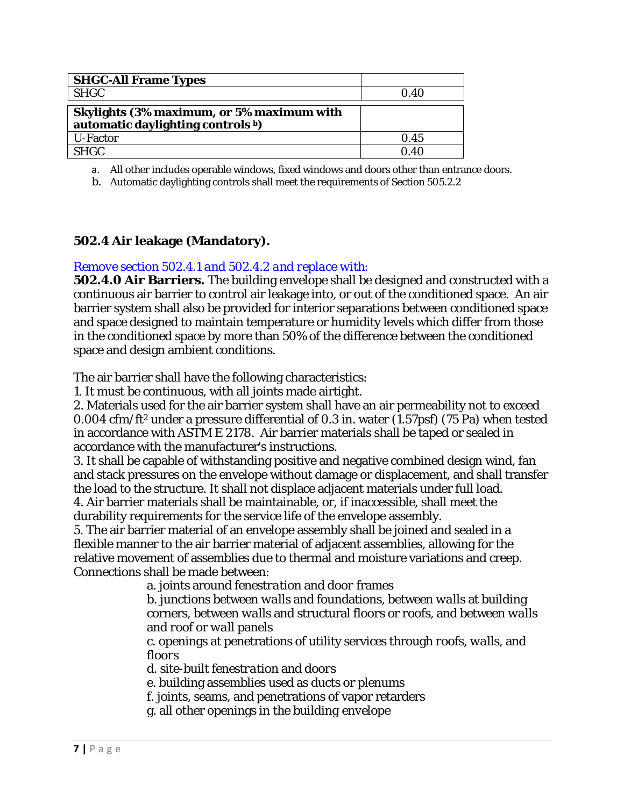| <b>SHGC-All Frame Types</b>                                                    |      |
|--------------------------------------------------------------------------------|------|
| <b>SHGC</b>                                                                    | 0.40 |
| Skylights (3% maximum, or 5% maximum with<br>automatic daylighting controls b) |      |
| U-Factor                                                                       | 0.45 |
| <b>SHGC</b>                                                                    | 0.40 |

a. All other includes operable windows, fixed windows and doors other than entrance doors.

b. Automatic daylighting controls shall meet the requirements of Section 505.2.2

### **502.4 Air leakage (Mandatory).**

### *Remove section 502.4.1 and 502.4.2 and replace with:*

**502.4.0 Air Barriers.** The building envelope shall be designed and constructed with a continuous air barrier to control air leakage into, or out of the conditioned space. An air barrier system shall also be provided for interior separations between conditioned space and space designed to maintain temperature or humidity levels which differ from those in the conditioned space by more than 50% of the difference between the conditioned space and design ambient conditions.

The air barrier shall have the following characteristics:

1. It must be continuous, with all joints made airtight.

2. Materials used for the air barrier system shall have an air permeability not to exceed 0.004 cfm/ft2 under a pressure differential of 0.3 in. water (1.57psf) (75 Pa) when tested in accordance with ASTM E 2178. Air barrier materials shall be taped or sealed in accordance with the manufacturer's instructions.

3. It shall be capable of withstanding positive and negative combined design wind, fan and stack pressures on the envelope without damage or displacement, and shall transfer the load to the structure. It shall not displace adjacent materials under full load. 4. Air barrier materials shall be maintainable, or, if inaccessible, shall meet the durability requirements for the service life of the envelope assembly.

5. The air barrier material of an envelope assembly shall be joined and sealed in a flexible manner to the air barrier material of adjacent assemblies, allowing for the relative movement of assemblies due to thermal and moisture variations and creep. Connections shall be made between:

a. joints around *fenestration* and *door* frames

b. junctions between *walls* and foundations, between *walls* at building corners, between *walls* and structural *floors* or *roofs*, and between *walls* and *roof* or *wall* panels

c. openings at penetrations of utility services through *roofs, walls*, and *floors*

d. site-built *fenestration* and *doors*

e. building assemblies used as ducts or plenums

f. joints, seams, and penetrations of vapor retarders

g. all other openings in the *building envelope*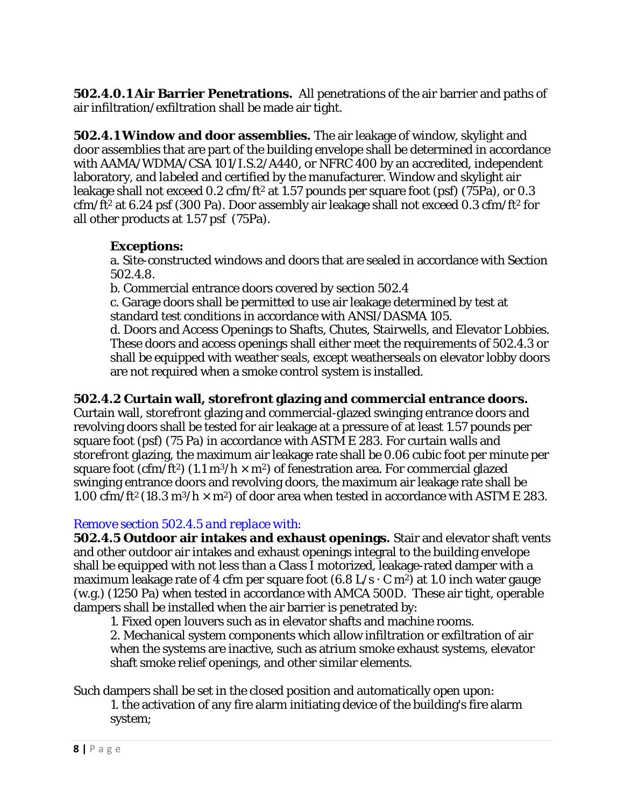**502.4.0.1 Air Barrier Penetrations.** All penetrations of the air barrier and paths of air infiltration/exfiltration shall be made air tight.

**502.4.1 Window and door assemblies.** The air leakage of window, skylight and door assemblies that are part of the building envelope shall be determined in accordance with AAMA/WDMA/CSA 101/I.S.2/A440, or NFRC 400 by an accredited, independent laboratory, and *labeled* and certified by the manufacturer. Window and skylight air leakage shall not exceed 0.2 cfm/ft<sup>2</sup> at 1.57 pounds per square foot (psf) (75Pa), or 0.3 cfm/ft2 at 6.24 psf (300 Pa). Door assembly air leakage shall not exceed 0.3 cfm/ft2 for all other products at 1.57 psf (75Pa).

# **Exceptions:**

a. Site-constructed windows and doors that are sealed in accordance with Section 502.4.8.

b. Commercial entrance doors covered by section 502.4

c. Garage doors shall be permitted to use air leakage determined by test at standard test conditions in accordance with ANSI/DASMA 105.

d. Doors and Access Openings to Shafts, Chutes, Stairwells, and Elevator Lobbies. These doors and access openings shall either meet the requirements of 502.4.3 or shall be equipped with weather seals, except weatherseals on elevator lobby doors are not required when a smoke control system is installed.

# **502.4.2 Curtain wall, storefront glazing and commercial entrance doors.**

Curtain wall, *storefront* glazing and commercial-glazed swinging entrance doors and revolving doors shall be tested for air leakage at a pressure of at least 1.57 pounds per square foot (psf) (75 Pa) in accordance with ASTM E 283. For curtain walls and *storefront* glazing, the maximum air leakage rate shall be 0.06 cubic foot per minute per square foot (cfm/ft<sup>2</sup>) (1.1 m<sup>3</sup>/h  $\times$  m<sup>2</sup>) of fenestration area. For commercial glazed swinging entrance doors and revolving doors, the maximum air leakage rate shall be 1.00 cfm/ft<sup>2</sup> (18.3 m<sup>3</sup>/h  $\times$  m<sup>2</sup>) of door area when tested in accordance with ASTM E 283.

## *Remove section 502.4.5 and replace with:*

**502.4.5 Outdoor air intakes and exhaust openings.** Stair and elevator shaft vents and other outdoor air intakes and exhaust openings integral to the building envelope shall be equipped with not less than a Class I motorized, leakage-rated damper with a maximum leakage rate of 4 cfm per square foot  $(6.8 \text{ L/s} \cdot \text{C m}^2)$  at 1.0 inch water gauge (w.g.) (1250 Pa) when tested in accordance with AMCA 500D. These air tight, operable dampers shall be installed when the air barrier is penetrated by:

1. Fixed open louvers such as in elevator shafts and machine rooms.

2. Mechanical system components which allow infiltration or exfiltration of air when the systems are inactive, such as atrium smoke exhaust systems, elevator shaft smoke relief openings, and other similar elements.

Such dampers shall be set in the closed position and automatically open upon:

1. the activation of any fire alarm initiating device of the building's fire alarm system;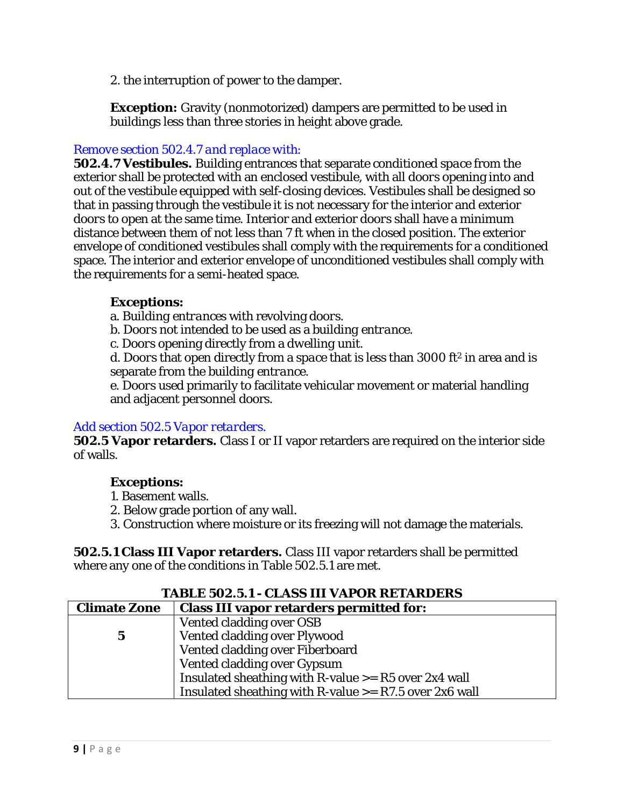2. the interruption of power to the damper.

**Exception:** Gravity (nonmotorized) dampers are permitted to be used in buildings less than three stories in height above grade.

## *Remove section 502.4.7 and replace with:*

**502.4.7 Vestibules.** Building entrances that separate *conditioned space* from the exterior shall be protected with an enclosed vestibule, with all *doors* opening into and out of the vestibule equipped with self-closing devices. Vestibules shall be designed so that in passing through the vestibule it is not necessary for the interior and exterior *doors* to open at the same time. Interior and exterior *doors* shall have a minimum distance between them of not less than 7 ft when in the closed position. The exterior envelope of conditioned vestibules shall comply with the requirements for a conditioned space. The interior and exterior envelope of unconditioned vestibules shall comply with the requirements for a semi-heated space.

## **Exceptions:**

a. *Building entrances* with revolving *doors*.

b. *Doors* not intended to be used as a *building entrance*.

c. *Doors* opening directly from a *dwelling unit*.

d. *Doors* that open directly from a *space* that is less than 3000 ft2 in area and is separate from the *building entrance*.

e. *Doors* used primarily to facilitate vehicular movement or material handling and adjacent personnel doors.

### *Add section 502.5 Vapor retarders.*

**502.5 Vapor retarders.** Class I or II vapor retarders are required on the interior side of walls.

## **Exceptions:**

- 1. Basement walls.
- 2. Below grade portion of any wall.
- 3. Construction where moisture or its freezing will not damage the materials.

**502.5.1 Class III Vapor retarders.** Class III vapor retarders shall be permitted where any one of the conditions in Table 502.5.1 are met.

| <b>TABLE 502.5.1 - CLASS III VAPOR RETARDERS</b>       |                                                          |  |
|--------------------------------------------------------|----------------------------------------------------------|--|
| <b>Climate Zone</b>                                    | <b>Class III vapor retarders permitted for:</b>          |  |
|                                                        | Vented cladding over OSB                                 |  |
| $\bf{5}$                                               | Vented cladding over Plywood                             |  |
|                                                        | Vented cladding over Fiberboard                          |  |
|                                                        | Vented cladding over Gypsum                              |  |
| Insulated sheathing with R-value $>=$ R5 over 2x4 wall |                                                          |  |
|                                                        | Insulated sheathing with R-value $>=$ R7.5 over 2x6 wall |  |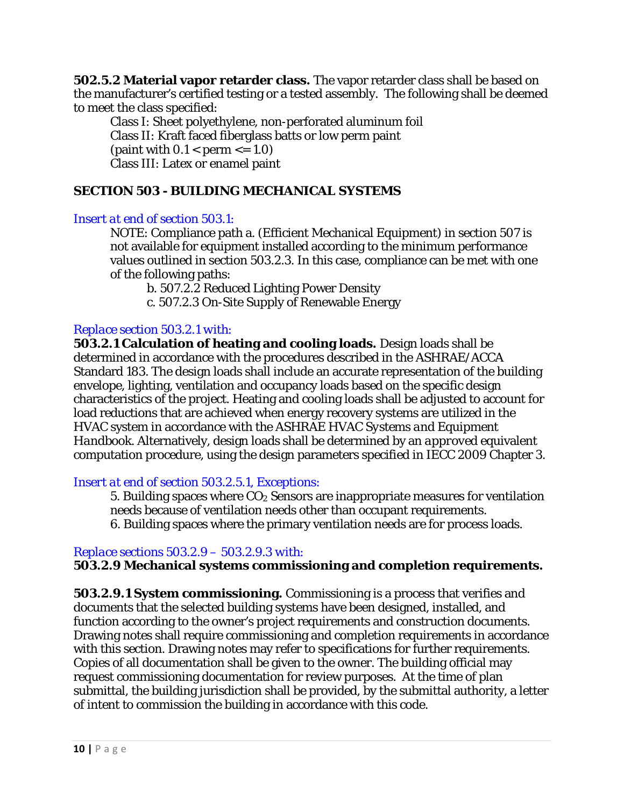**502.5.2 Material vapor retarder class.** The vapor retarder class shall be based on the manufacturer's certified testing or a tested assembly. The following shall be deemed to meet the class specified:

Class I: Sheet polyethylene, non-perforated aluminum foil Class II: Kraft faced fiberglass batts or low perm paint (paint with  $0.1 <$  perm  $\leq 1.0$ ) Class III: Latex or enamel paint

## **SECTION 503 - BUILDING MECHANICAL SYSTEMS**

#### *Insert at end of section 503.1:*

NOTE: Compliance path a. (Efficient Mechanical Equipment) in section 507 is not available for equipment installed according to the minimum performance values outlined in section 503.2.3. In this case, compliance can be met with one of the following paths:

b. 507.2.2 Reduced Lighting Power Density

c. 507.2.3 On-Site Supply of Renewable Energy

### *Replace section 503.2.1 with:*

**503.2.1 Calculation of heating and cooling loads.** Design loads shall be determined in accordance with the procedures described in the ASHRAE/ACCA Standard 183. The design loads shall include an accurate representation of the building envelope, lighting, ventilation and occupancy loads based on the specific design characteristics of the project. Heating and cooling loads shall be adjusted to account for load reductions that are achieved when energy recovery systems are utilized in the HVAC system in accordance with the ASHRAE *HVAC Systems and Equipment Handbook*. Alternatively, design loads shall be determined by an *approved* equivalent computation procedure, using the design parameters specified in IECC 2009 Chapter 3.

*Insert at end of section 503.2.5.1, Exceptions:*

5. Building spaces where  $CO<sub>2</sub>$  Sensors are inappropriate measures for ventilation needs because of ventilation needs other than occupant requirements. 6. Building spaces where the primary ventilation needs are for process loads.

#### *Replace sections 503.2.9 – 503.2.9.3 with:*

**503.2.9 Mechanical systems commissioning and completion requirements.**

**503.2.9.1 System commissioning.** Commissioning is a process that verifies and documents that the selected building systems have been designed, installed, and function according to the owner's project requirements and construction documents. Drawing notes shall require commissioning and completion requirements in accordance with this section. Drawing notes may refer to specifications for further requirements. Copies of all documentation shall be given to the owner. The building official may request commissioning documentation for review purposes. At the time of plan submittal, the building jurisdiction shall be provided, by the submittal authority, a letter of intent to commission the building in accordance with this code.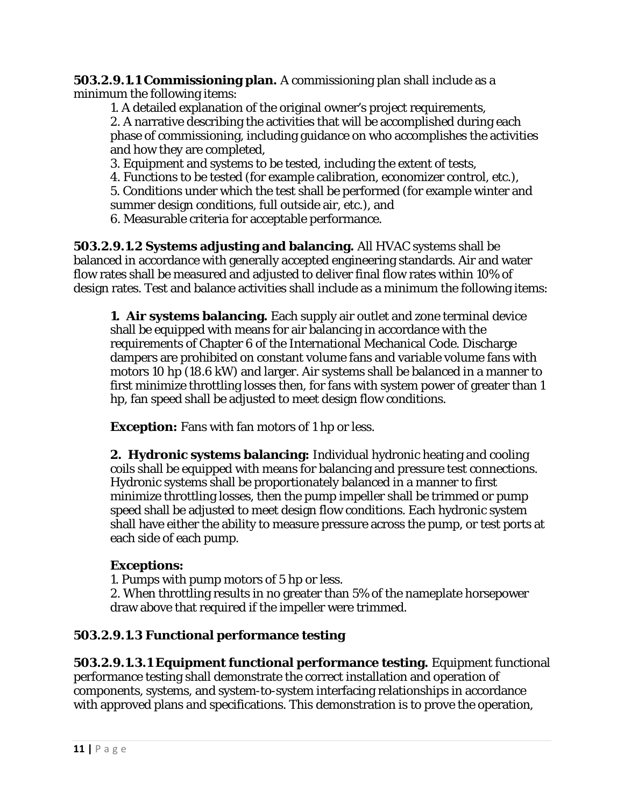**503.2.9.1.1 Commissioning plan.** A commissioning plan shall include as a minimum the following items:

1. A detailed explanation of the original owner's project requirements, 2. A narrative describing the activities that will be accomplished during each phase of commissioning, including guidance on who accomplishes the activities and how they are completed,

3. Equipment and systems to be tested, including the extent of tests,

4. Functions to be tested (for example calibration, economizer control, etc.),

5. Conditions under which the test shall be performed (for example winter and summer design conditions, full outside air, etc.), and

6. Measurable criteria for acceptable performance.

**503.2.9.1.2 Systems adjusting and balancing.** All HVAC systems shall be balanced in accordance with generally accepted engineering standards. Air and water flow rates shall be measured and adjusted to deliver final flow rates within 10% of design rates. Test and balance activities shall include as a minimum the following items:

**1. Air systems balancing.** Each supply air outlet and zone terminal device shall be equipped with means for air balancing in accordance with the requirements of Chapter 6 of the International Mechanical Code. Discharge dampers are prohibited on constant volume fans and variable volume fans with motors 10 hp (18.6 kW) and larger. Air systems shall be balanced in a manner to first minimize throttling losses then, for fans with system power of greater than 1 hp, fan speed shall be adjusted to meet design flow conditions.

**Exception:** Fans with fan motors of 1 hp or less.

**2. Hydronic systems balancing:** Individual hydronic heating and cooling coils shall be equipped with means for balancing and pressure test connections. Hydronic systems shall be proportionately balanced in a manner to first minimize throttling losses, then the pump impeller shall be trimmed or pump speed shall be adjusted to meet design flow conditions. Each hydronic system shall have either the ability to measure pressure across the pump, or test ports at each side of each pump.

# **Exceptions:**

1. Pumps with pump motors of 5 hp or less.

2. When throttling results in no greater than 5% of the nameplate horsepower draw above that required if the impeller were trimmed.

# **503.2.9.1.3 Functional performance testing**

**503.2.9.1.3.1 Equipment functional performance testing.** Equipment functional performance testing shall demonstrate the correct installation and operation of components, systems, and system-to-system interfacing relationships in accordance with approved plans and specifications. This demonstration is to prove the operation,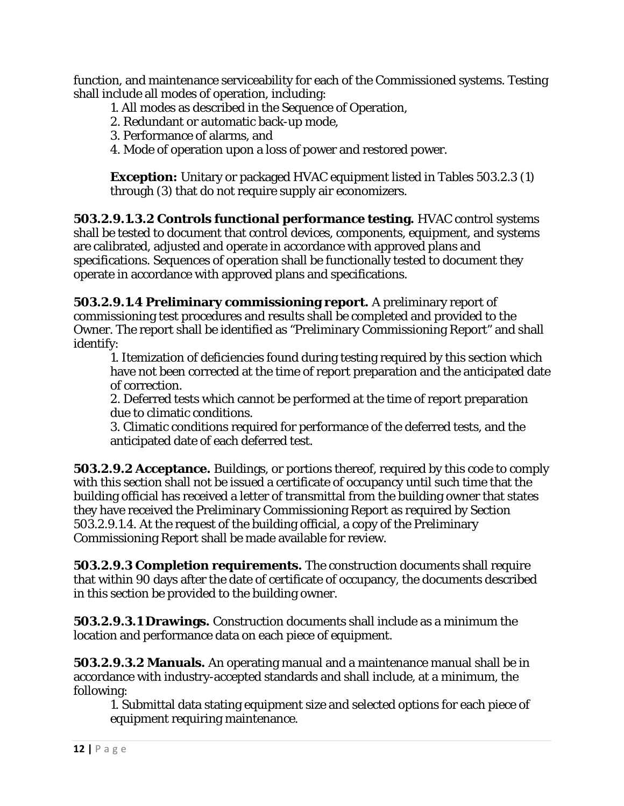function, and maintenance serviceability for each of the Commissioned systems. Testing shall include all modes of operation, including:

- 1. All modes as described in the Sequence of Operation,
- 2. Redundant or automatic back-up mode,
- 3. Performance of alarms, and
- 4. Mode of operation upon a loss of power and restored power.

**Exception:** Unitary or packaged HVAC equipment listed in Tables 503.2.3 (1) through (3) that do not require supply air economizers.

**503.2.9.1.3.2 Controls functional performance testing.** HVAC control systems shall be tested to document that control devices, components, equipment, and systems are calibrated, adjusted and operate in accordance with approved plans and specifications. Sequences of operation shall be functionally tested to document they operate in accordance with approved plans and specifications.

**503.2.9.1.4 Preliminary commissioning report.** A preliminary report of commissioning test procedures and results shall be completed and provided to the Owner. The report shall be identified as "Preliminary Commissioning Report" and shall identify:

1. Itemization of deficiencies found during testing required by this section which have not been corrected at the time of report preparation and the anticipated date of correction.

2. Deferred tests which cannot be performed at the time of report preparation due to climatic conditions.

3. Climatic conditions required for performance of the deferred tests, and the anticipated date of each deferred test.

**503.2.9.2 Acceptance.** Buildings, or portions thereof, required by this code to comply with this section shall not be issued a certificate of occupancy until such time that the building official has received a letter of transmittal from the building owner that states they have received the Preliminary Commissioning Report as required by Section 503.2.9.1.4. At the request of the building official, a copy of the Preliminary Commissioning Report shall be made available for review.

**503.2.9.3 Completion requirements.** The construction documents shall require that within 90 days after the date of certificate of occupancy, the documents described in this section be provided to the building owner.

**503.2.9.3.1 Drawings.** Construction documents shall include as a minimum the location and performance data on each piece of equipment.

**503.2.9.3.2 Manuals.** An operating manual and a maintenance manual shall be in accordance with industry-accepted standards and shall include, at a minimum, the following:

1. Submittal data stating equipment size and selected options for each piece of equipment requiring maintenance.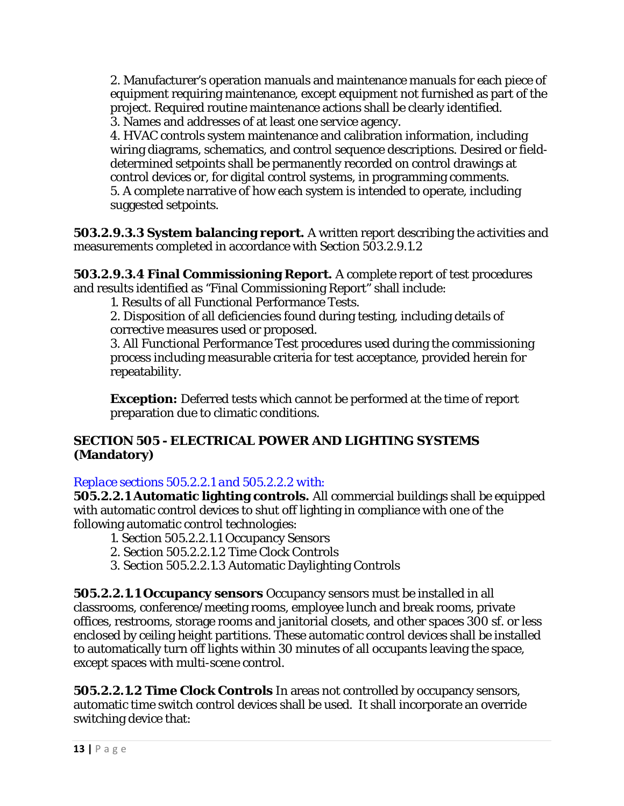2. Manufacturer's operation manuals and maintenance manuals for each piece of equipment requiring maintenance, except equipment not furnished as part of the project. Required routine maintenance actions shall be clearly identified. 3. Names and addresses of at least one service agency.

4. HVAC controls system maintenance and calibration information, including wiring diagrams, schematics, and control sequence descriptions. Desired or fielddetermined setpoints shall be permanently recorded on control drawings at control devices or, for digital control systems, in programming comments. 5. A complete narrative of how each system is intended to operate, including suggested setpoints.

**503.2.9.3.3 System balancing report.** A written report describing the activities and measurements completed in accordance with Section 503.2.9.1.2

**503.2.9.3.4 Final Commissioning Report.** A complete report of test procedures and results identified as "Final Commissioning Report" shall include:

1. Results of all Functional Performance Tests.

2. Disposition of all deficiencies found during testing, including details of corrective measures used or proposed.

3. All Functional Performance Test procedures used during the commissioning process including measurable criteria for test acceptance, provided herein for repeatability.

**Exception:** Deferred tests which cannot be performed at the time of report preparation due to climatic conditions.

## **SECTION 505 - ELECTRICAL POWER AND LIGHTING SYSTEMS (Mandatory)**

## *Replace sections 505.2.2.1 and 505.2.2.2 with:*

**505.2.2.1 Automatic lighting controls.** All commercial buildings shall be equipped with automatic control devices to shut off lighting in compliance with one of the following automatic control technologies:

- 1. Section 505.2.2.1.1 Occupancy Sensors
- 2. Section 505.2.2.1.2 Time Clock Controls
- 3. Section 505.2.2.1.3 Automatic Daylighting Controls

**505.2.2.1.1 Occupancy sensors** Occupancy sensors must be installed in all classrooms, conference/meeting rooms, employee lunch and break rooms, private offices, restrooms, storage rooms and janitorial closets, and other spaces 300 sf. or less enclosed by ceiling height partitions. These automatic control devices shall be installed to automatically turn off lights within 30 minutes of all occupants leaving the space, except spaces with multi-scene control.

**505.2.2.1.2 Time Clock Controls** In areas not controlled by occupancy sensors, automatic time switch control devices shall be used. It shall incorporate an override switching device that: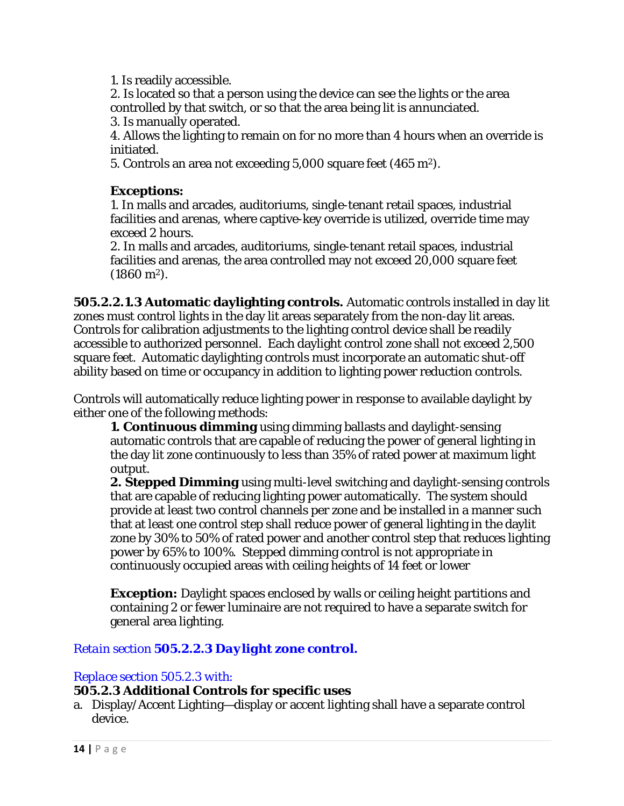1. Is readily accessible.

2. Is located so that a person using the device can see the lights or the area controlled by that switch, or so that the area being lit is annunciated.

3. Is manually operated.

4. Allows the lighting to remain on for no more than 4 hours when an override is initiated.

5. Controls an area not exceeding 5,000 square feet (465 m2).

## **Exceptions:**

1. In malls and arcades, auditoriums, single-tenant retail spaces, industrial facilities and arenas, where captive-key override is utilized, override time may exceed 2 hours.

2. In malls and arcades, auditoriums, single-tenant retail spaces, industrial facilities and arenas, the area controlled may not exceed 20,000 square feet  $(1860 \text{ m}^2)$ .

**505.2.2.1.3 Automatic daylighting controls.** Automatic controls installed in day lit zones must control lights in the day lit areas separately from the non-day lit areas. Controls for calibration adjustments to the lighting control device shall be readily accessible to authorized personnel. Each daylight control zone shall not exceed 2,500 square feet. Automatic daylighting controls must incorporate an automatic shut-off ability based on time or occupancy in addition to lighting power reduction controls.

Controls will automatically reduce lighting power in response to available daylight by either one of the following methods:

**1. Continuous dimming** using dimming ballasts and daylight-sensing automatic controls that are capable of reducing the power of general lighting in the day lit zone continuously to less than 35% of rated power at maximum light output.

**2. Stepped Dimming** using multi-level switching and daylight-sensing controls that are capable of reducing lighting power automatically. The system should provide at least two control channels per zone and be installed in a manner such that at least one control step shall reduce power of general lighting in the daylit zone by 30% to 50% of rated power and another control step that reduces lighting power by 65% to 100%. Stepped dimming control is not appropriate in continuously occupied areas with ceiling heights of 14 feet or lower

**Exception:** Daylight spaces enclosed by walls or ceiling height partitions and containing 2 or fewer luminaire are not required to have a separate switch for general area lighting.

## *Retain section 505.2.2.3 Daylight zone control.*

### *Replace section 505.2.3 with:*

### **505.2.3 Additional Controls for specific uses**

a. Display/Accent Lighting—display or accent lighting shall have a separate control device.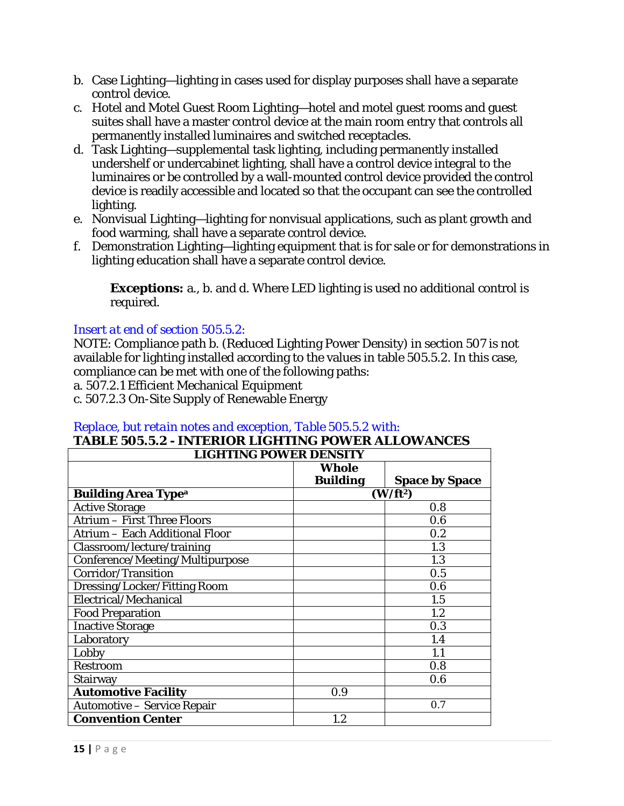- b. Case Lighting—lighting in cases used for display purposes shall have a separate control device.
- c. Hotel and Motel Guest Room Lighting—hotel and motel guest rooms and guest suites shall have a master control device at the main room entry that controls all permanently installed luminaires and switched receptacles.
- d. Task Lighting—supplemental task lighting, including permanently installed undershelf or undercabinet lighting, shall have a control device integral to the luminaires or be controlled by a wall-mounted control device provided the control device is readily accessible and located so that the occupant can see the controlled lighting.
- e. Nonvisual Lighting—lighting for nonvisual applications, such as plant growth and food warming, shall have a separate control device.
- f. Demonstration Lighting—lighting equipment that is for sale or for demonstrations in lighting education shall have a separate control device.

**Exceptions:** a., b. and d. Where LED lighting is used no additional control is required.

## *Insert at end of section 505.5.2:*

NOTE: Compliance path b. (Reduced Lighting Power Density) in section 507 is not available for lighting installed according to the values in table 505.5.2. In this case, compliance can be met with one of the following paths:

a. 507.2.1 Efficient Mechanical Equipment

c. 507.2.3 On-Site Supply of Renewable Energy

#### *Replace, but retain notes and exception, Table 505.5.2 with:* **TABLE 505.5.2 - INTERIOR LIGHTING POWER ALLOWANCES**

| <b>LIGHTING POWER DENSITY</b>         |                      |                       |  |
|---------------------------------------|----------------------|-----------------------|--|
|                                       | Whole                |                       |  |
|                                       | <b>Building</b>      | <b>Space by Space</b> |  |
| <b>Building Area Type<sup>a</sup></b> | (W/ft <sup>2</sup> ) |                       |  |
| <b>Active Storage</b>                 |                      | 0.8                   |  |
| <b>Atrium - First Three Floors</b>    |                      | 0.6                   |  |
| <b>Atrium - Each Additional Floor</b> |                      | 0.2                   |  |
| Classroom/lecture/training            |                      | 1.3                   |  |
| Conference/Meeting/Multipurpose       |                      | 1.3                   |  |
| Corridor/Transition                   |                      | 0.5                   |  |
| Dressing/Locker/Fitting Room          |                      | 0.6                   |  |
| Electrical/Mechanical                 |                      | 1.5                   |  |
| <b>Food Preparation</b>               |                      | 1.2                   |  |
| <b>Inactive Storage</b>               |                      | 0.3                   |  |
| Laboratory                            |                      | 1.4                   |  |
| Lobby                                 |                      | 1.1                   |  |
| Restroom                              |                      | 0.8                   |  |
| <b>Stairway</b>                       |                      | 0.6                   |  |
| <b>Automotive Facility</b><br>0.9     |                      |                       |  |
| <b>Automotive - Service Repair</b>    |                      | 0.7                   |  |
| <b>Convention Center</b>              | 1.2                  |                       |  |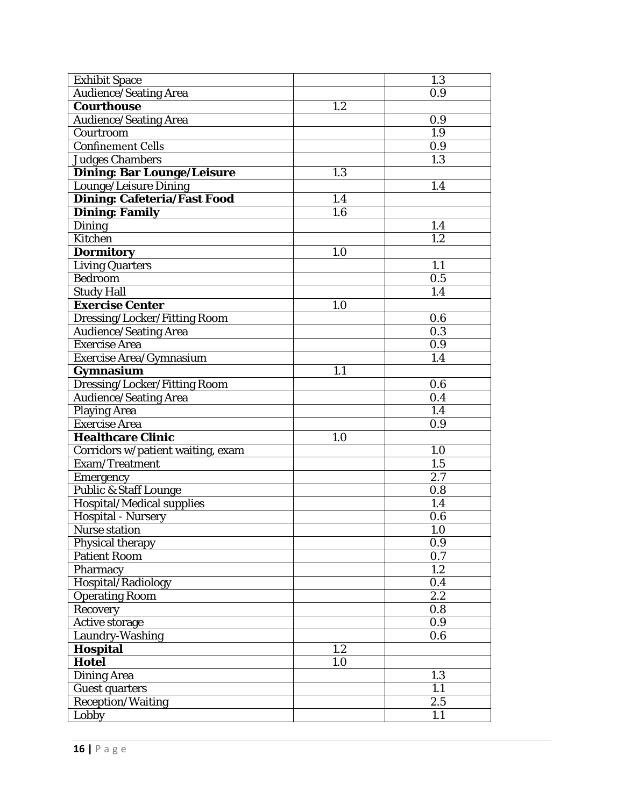| <b>Exhibit Space</b>               |     | 1.3              |
|------------------------------------|-----|------------------|
| <b>Audience/Seating Area</b>       |     | 0.9              |
| <b>Courthouse</b>                  | 1.2 |                  |
| <b>Audience/Seating Area</b>       |     | 0.9              |
| Courtroom                          |     | 1.9              |
| <b>Confinement Cells</b>           |     | 0.9              |
| <b>Judges Chambers</b>             |     | 1.3              |
| <b>Dining: Bar Lounge/Leisure</b>  | 1.3 |                  |
| Lounge/Leisure Dining              |     | 1.4              |
| <b>Dining: Cafeteria/Fast Food</b> | 1.4 |                  |
| <b>Dining: Family</b>              | 1.6 |                  |
| <b>Dining</b>                      |     | 1.4              |
| <b>Kitchen</b>                     |     | 1.2              |
| <b>Dormitory</b>                   | 1.0 |                  |
| <b>Living Quarters</b>             |     | 1.1              |
| <b>Bedroom</b>                     |     | 0.5              |
| <b>Study Hall</b>                  |     | 1.4              |
| <b>Exercise Center</b>             | 1.0 |                  |
| Dressing/Locker/Fitting Room       |     | 0.6              |
| <b>Audience/Seating Area</b>       |     | 0.3              |
| <b>Exercise Area</b>               |     | 0.9              |
| Exercise Area/Gymnasium            |     | 1.4              |
| Gymnasium                          | 1.1 |                  |
| Dressing/Locker/Fitting Room       |     | 0.6              |
| <b>Audience/Seating Area</b>       |     | 0.4              |
| <b>Playing Area</b>                |     | 1.4              |
| <b>Exercise Area</b>               |     | 0.9              |
| <b>Healthcare Clinic</b>           | 1.0 |                  |
| Corridors w/patient waiting, exam  |     | 1.0              |
| Exam/Treatment                     |     | $\overline{1.5}$ |
| <b>Emergency</b>                   |     | 2.7              |
| Public & Staff Lounge              |     | 0.8              |
| Hospital/Medical supplies          |     | 1.4              |
| <b>Hospital - Nursery</b>          |     | 0.6              |
| Nurse station                      |     | 1.0              |
| Physical therapy                   |     | 0.9              |
| <b>Patient Room</b>                |     | 0.7              |
| Pharmacy                           |     | 1.2              |
| Hospital/Radiology                 |     | 0.4              |
| <b>Operating Room</b>              |     | 2.2              |
| <b>Recovery</b>                    |     | 0.8              |
| <b>Active storage</b>              |     | 0.9              |
| Laundry-Washing                    |     | 0.6              |
| Hospital                           | 1.2 |                  |
| <b>Hotel</b>                       | 1.0 |                  |
| <b>Dining Area</b>                 |     | 1.3              |
| <b>Guest quarters</b>              |     | 1.1              |
| <b>Reception/Waiting</b>           |     | 2.5              |
| Lobby                              |     | 1.1              |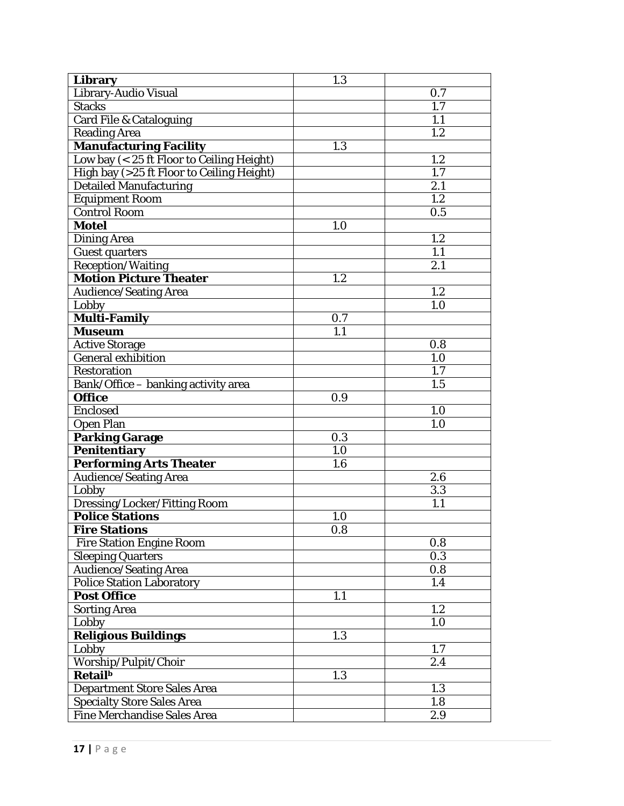| Library                                   | 1.3 |                  |
|-------------------------------------------|-----|------------------|
| Library-Audio Visual                      |     | 0.7              |
| <b>Stacks</b>                             |     | 1.7              |
| <b>Card File &amp; Cataloguing</b>        |     | 1.1              |
| <b>Reading Area</b>                       |     | 1.2              |
| <b>Manufacturing Facility</b>             | 1.3 |                  |
| Low bay (< 25 ft Floor to Ceiling Height) |     | 1.2              |
| High bay (>25 ft Floor to Ceiling Height) |     | 1.7              |
| <b>Detailed Manufacturing</b>             |     | 2.1              |
| <b>Equipment Room</b>                     |     | $\overline{1.2}$ |
| Control Room                              |     | 0.5              |
| <b>Motel</b>                              | 1.0 |                  |
| <b>Dining Area</b>                        |     | 1.2              |
| <b>Guest quarters</b>                     |     | 1.1              |
| <b>Reception/Waiting</b>                  |     | 2.1              |
| <b>Motion Picture Theater</b>             | 1.2 |                  |
| <b>Audience/Seating Area</b>              |     | 1.2              |
| Lobby                                     |     | 1.0              |
| Multi-Family                              | 0.7 |                  |
| <b>Museum</b>                             | 1.1 |                  |
| <b>Active Storage</b>                     |     | 0.8              |
| General exhibition                        |     | 1.0              |
| <b>Restoration</b>                        |     | 1.7              |
| Bank/Office - banking activity area       |     | 1.5              |
| <b>Office</b>                             | 0.9 |                  |
| <b>Enclosed</b>                           |     | 1.0              |
| <b>Open Plan</b>                          |     | 1.0              |
| <b>Parking Garage</b>                     | 0.3 |                  |
| <b>Penitentiary</b>                       | 1.0 |                  |
| <b>Performing Arts Theater</b>            | 1.6 |                  |
| <b>Audience/Seating Area</b>              |     | 2.6              |
| Lobby                                     |     | 3.3              |
| Dressing/Locker/Fitting Room              |     | 1.1              |
| <b>Police Stations</b>                    | 1.0 |                  |
| <b>Fire Stations</b>                      | 0.8 |                  |
| <b>Fire Station Engine Room</b>           |     | 0.8              |
| <b>Sleeping Quarters</b>                  |     | 0.3              |
| <b>Audience/Seating Area</b>              |     | 0.8              |
| <b>Police Station Laboratory</b>          |     | 1.4              |
| <b>Post Office</b>                        | 1.1 |                  |
| <b>Sorting Area</b>                       |     | 1.2              |
| Lobby                                     |     | 1.0              |
| Religious Buildings                       | 1.3 |                  |
| Lobby                                     |     | 1.7              |
| Worship/Pulpit/Choir                      |     | 2.4              |
| <b>Retail</b> <sup>b</sup>                | 1.3 |                  |
| <b>Department Store Sales Area</b>        |     | 1.3              |
| <b>Specialty Store Sales Area</b>         |     | 1.8              |
| Fine Merchandise Sales Area               |     | 2.9              |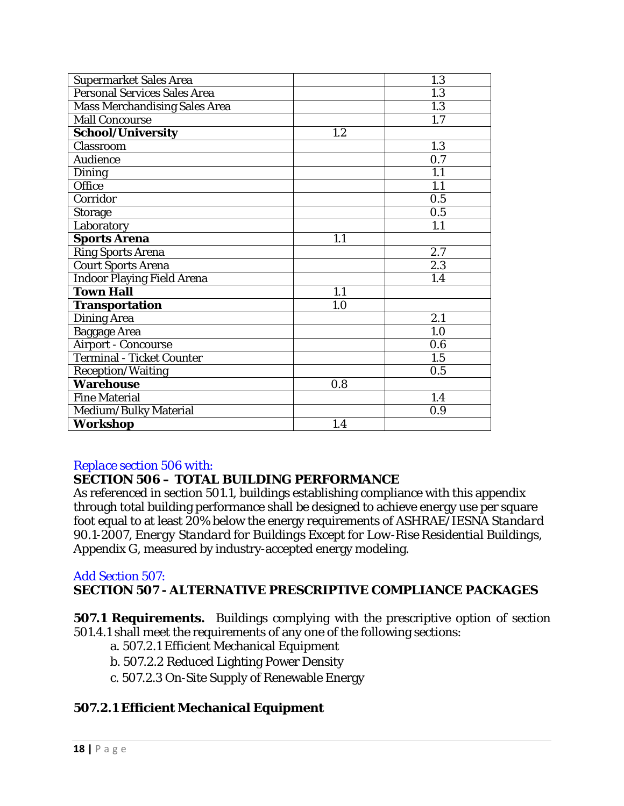| <b>Supermarket Sales Area</b>        |     | 1.3 |
|--------------------------------------|-----|-----|
| <b>Personal Services Sales Area</b>  |     | 1.3 |
| <b>Mass Merchandising Sales Area</b> |     | 1.3 |
| <b>Mall Concourse</b>                |     | 1.7 |
| School/University                    | 1.2 |     |
| Classroom                            |     | 1.3 |
| <b>Audience</b>                      |     | 0.7 |
| <b>Dining</b>                        |     | 1.1 |
| Office                               |     | 1.1 |
| Corridor                             |     | 0.5 |
| <b>Storage</b>                       |     | 0.5 |
| Laboratory                           |     | 1.1 |
| <b>Sports Arena</b>                  | 1.1 |     |
| <b>Ring Sports Arena</b>             |     | 2.7 |
| <b>Court Sports Arena</b>            |     | 2.3 |
| <b>Indoor Playing Field Arena</b>    |     | 1.4 |
| <b>Town Hall</b>                     | 1.1 |     |
| <b>Transportation</b>                | 1.0 |     |
| <b>Dining Area</b>                   |     | 2.1 |
| <b>Baggage Area</b>                  |     | 1.0 |
| <b>Airport - Concourse</b>           |     | 0.6 |
| <b>Terminal - Ticket Counter</b>     |     | 1.5 |
| <b>Reception/Waiting</b>             |     | 0.5 |
| <b>Warehouse</b>                     | 0.8 |     |
| <b>Fine Material</b>                 |     | 1.4 |
| Medium/Bulky Material                |     | 0.9 |
| <b>Workshop</b>                      | 1.4 |     |

## *Replace section 506 with:*

## **SECTION 506 – TOTAL BUILDING PERFORMANCE**

As referenced in section 501.1, buildings establishing compliance with this appendix through total building performance shall be designed to achieve energy use per square foot equal to at least 20% below the energy requirements of *ASHRAE/IESNA Standard 90.1-2007, Energy Standard for Buildings Except for Low-Rise Residential Buildings*, Appendix G, measured by industry-accepted energy modeling.

### *Add Section 507:*

## **SECTION 507 - ALTERNATIVE PRESCRIPTIVE COMPLIANCE PACKAGES**

**507.1 Requirements.** Buildings complying with the prescriptive option of section 501.4.1 shall meet the requirements of any one of the following sections:

- a. 507.2.1 Efficient Mechanical Equipment
- b. 507.2.2 Reduced Lighting Power Density
- c. 507.2.3 On-Site Supply of Renewable Energy

## **507.2.1 Efficient Mechanical Equipment**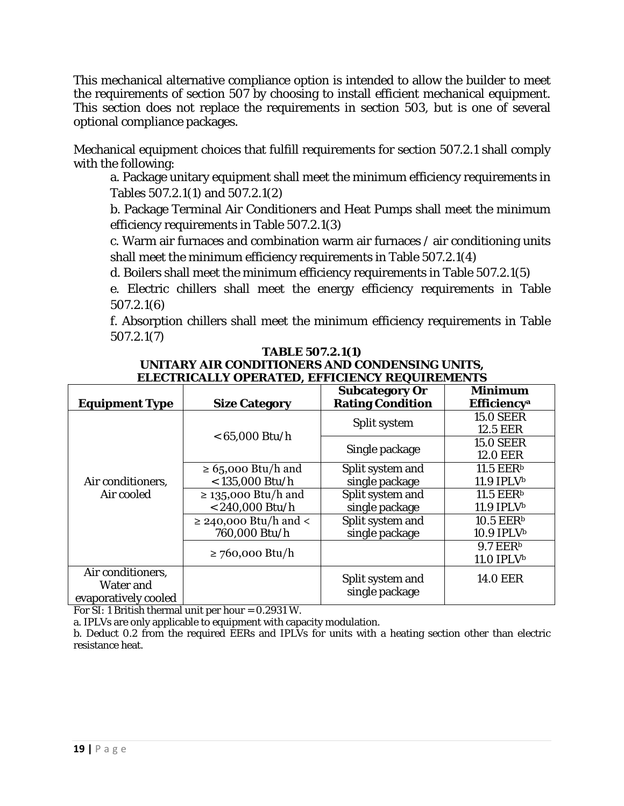This mechanical alternative compliance option is intended to allow the builder to meet the requirements of section 507 by choosing to install efficient mechanical equipment. This section does not replace the requirements in section 503, but is one of several optional compliance packages.

Mechanical equipment choices that fulfill requirements for section 507.2.1 shall comply with the following:

a. Package unitary equipment shall meet the minimum efficiency requirements in Tables 507.2.1(1) and 507.2.1(2)

b. Package Terminal Air Conditioners and Heat Pumps shall meet the minimum efficiency requirements in Table 507.2.1(3)

c. Warm air furnaces and combination warm air furnaces / air conditioning units shall meet the minimum efficiency requirements in Table 507.2.1(4)

d. Boilers shall meet the minimum efficiency requirements in Table 507.2.1(5)

e. Electric chillers shall meet the energy efficiency requirements in Table 507.2.1(6)

f. Absorption chillers shall meet the minimum efficiency requirements in Table 507.2.1(7)

|                       |                            | <b>Subcategory Or</b>   | <b>Minimum</b>                 |
|-----------------------|----------------------------|-------------------------|--------------------------------|
| <b>Equipment Type</b> | <b>Size Category</b>       | <b>Rating Condition</b> | <b>Efficiency</b> <sup>a</sup> |
|                       |                            |                         | <b>15.0 SEER</b>               |
|                       | $< 65,000$ Btu/h           | Split system            | <b>12.5 EER</b>                |
|                       |                            |                         | <b>15.0 SEER</b>               |
|                       |                            | Single package          | <b>12.0 EER</b>                |
|                       | $\geq 65,000$ Btu/h and    | Split system and        | 11.5 EER <sup>b</sup>          |
| Air conditioners,     | $<$ 135,000 Btu/h          | single package          | $11.9$ IPLV <sup>b</sup>       |
| Air cooled            | $\geq$ 135,000 Btu/h and   | Split system and        | 11.5 EER <sup>b</sup>          |
|                       | $< 240,000$ Btu/h          | single package          | $11.9$ IPLV <sup>b</sup>       |
|                       | $\geq$ 240,000 Btu/h and < | Split system and        | 10.5 EER <sup>b</sup>          |
|                       | 760,000 Btu/h              | single package          | 10.9 IPLVb                     |
|                       | $\geq$ 760,000 Btu/h       |                         | 9.7 EER <sup>b</sup>           |
|                       |                            |                         | 11.0 IPLVb                     |
| Air conditioners,     |                            | Split system and        | <b>14.0 EER</b>                |
| Water and             |                            | single package          |                                |
| evaporatively cooled  |                            |                         |                                |

#### **TABLE 507.2.1(1) UNITARY AIR CONDITIONERS AND CONDENSING UNITS, ELECTRICALLY OPERATED, EFFICIENCY REQUIREMENTS**

For SI: 1 British thermal unit per hour = 0.2931 W.

a. IPLVs are only applicable to equipment with capacity modulation.

b. Deduct 0.2 from the required EERs and IPLVs for units with a heating section other than electric resistance heat.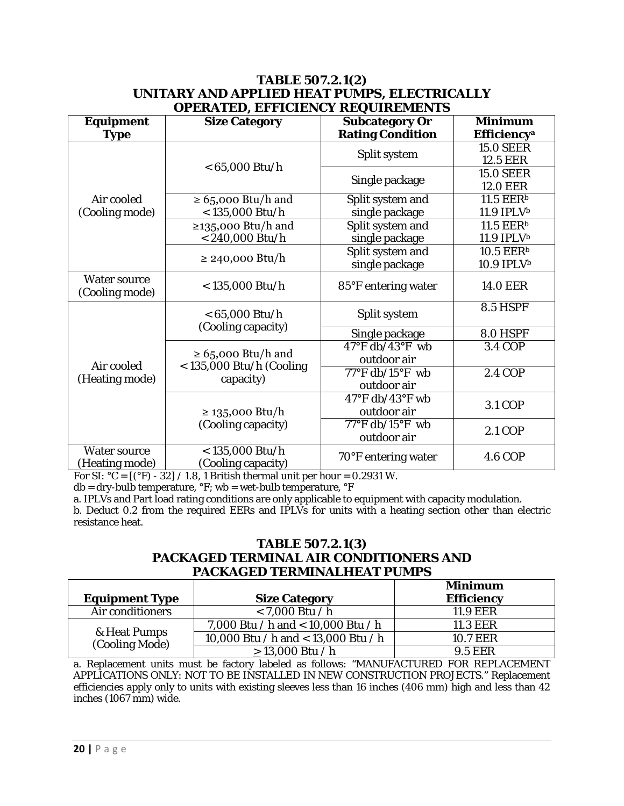#### **TABLE 507.2.1(2) UNITARY AND APPLIED HEAT PUMPS, ELECTRICALLY OPERATED, EFFICIENCY REQUIREMENTS**

| <b>Equipment</b>                      | ОГЕКАТЕВ, ЕГГІСІЕРСТ КЕССІКЕВІЛЕРІВ<br><b>Size Category</b> | Subcategory Or                       | <b>Minimum</b>          |
|---------------------------------------|-------------------------------------------------------------|--------------------------------------|-------------------------|
| <b>Type</b>                           |                                                             | <b>Rating Condition</b>              | Efficiency <sup>a</sup> |
|                                       |                                                             |                                      | <b>15.0 SEER</b>        |
|                                       |                                                             | Split system                         | 12.5 EER                |
|                                       | $< 65,000$ Btu/h                                            |                                      | <b>15.0 SEER</b>        |
|                                       |                                                             | Single package                       | <b>12.0 EER</b>         |
| Air cooled                            | $\geq 65,000$ Btu/h and                                     | Split system and                     | 11.5 EER <sup>b</sup>   |
| (Cooling mode)                        | $<$ 135,000 Btu/h                                           | single package                       | 11.9 IPLVb              |
|                                       | ≥135,000 Btu/h and                                          | Split system and                     | 11.5 EER <sup>b</sup>   |
|                                       | $< 240,000$ Btu/h                                           | single package                       | 11.9 IPLVb              |
|                                       | $\geq$ 240,000 Btu/h                                        | Split system and                     | 10.5 EER <sup>b</sup>   |
|                                       |                                                             | single package                       | 10.9 IPLVb              |
| <b>Water source</b><br>(Cooling mode) | $<$ 135,000 Btu/h                                           | 85°F entering water                  | <b>14.0 EER</b>         |
|                                       | $< 65,000$ Btu/h<br>(Cooling capacity)                      | Split system                         | <b>8.5 HSPF</b>         |
|                                       |                                                             | Single package                       | $8.0$ HSPF              |
|                                       |                                                             | $47^{\circ}$ F db/43°F wb            | <b>3.4 COP</b>          |
| Air cooled                            | $\geq 65,000$ Btu/h and<br>$<$ 135,000 Btu/h (Cooling       | outdoor air                          |                         |
| (Heating mode)                        | capacity)                                                   | $77^{\circ}$ F db/15 $^{\circ}$ F wb | 2.4 COP                 |
|                                       |                                                             | outdoor air                          |                         |
|                                       |                                                             | $47^{\circ}$ F db/43°F wb            | <b>3.1 COP</b>          |
|                                       | ≥ 135,000 Btu/h                                             | outdoor air                          |                         |
|                                       | (Cooling capacity)                                          | $77^{\circ}$ F db/15°F wb            | 2.1 COP                 |
|                                       |                                                             | outdoor air                          |                         |
| <b>Water source</b>                   | $< 135,000$ Btu/h                                           | 70°F entering water                  | <b>4.6 COP</b>          |
| (Heating mode)                        | (Cooling capacity)                                          |                                      |                         |

For SI:  $^{\circ}$ C = [ $^{\circ}$ F) - 32] / 1.8, 1 British thermal unit per hour = 0.2931 W.

 $db = dry$ -bulb temperature,  ${}^{\circ}F$ ; wb = wet-bulb temperature,  ${}^{\circ}F$ 

a. IPLVs and Part load rating conditions are only applicable to equipment with capacity modulation. b. Deduct 0.2 from the required EERs and IPLVs for units with a heating section other than electric

## **TABLE 507.2.1(3) PACKAGED TERMINAL AIR CONDITIONERS AND PACKAGED TERMINALHEAT PUMPS**

| <b>Equipment Type</b>          | <b>Size Category</b>                | <b>Minimum</b><br><b>Efficiency</b> |
|--------------------------------|-------------------------------------|-------------------------------------|
| Air conditioners               | $< 7,000$ Btu / h                   | <b>11.9 EER</b>                     |
| & Heat Pumps<br>(Cooling Mode) | 7,000 Btu / h and < 10,000 Btu / h  | <b>11.3 EER</b>                     |
|                                | 10,000 Btu / h and < 13,000 Btu / h | <b>10.7 EER</b>                     |
|                                | $> 13,000$ Btu / h                  | <b>9.5 EER</b>                      |

a. Replacement units must be factory labeled as follows: "MANUFACTURED FOR REPLACEMENT APPLICATIONS ONLY: NOT TO BE INSTALLED IN NEW CONSTRUCTION PROJECTS." Replacement efficiencies apply only to units with existing sleeves less than 16 inches (406 mm) high and less than 42 inches (1067 mm) wide.

resistance heat.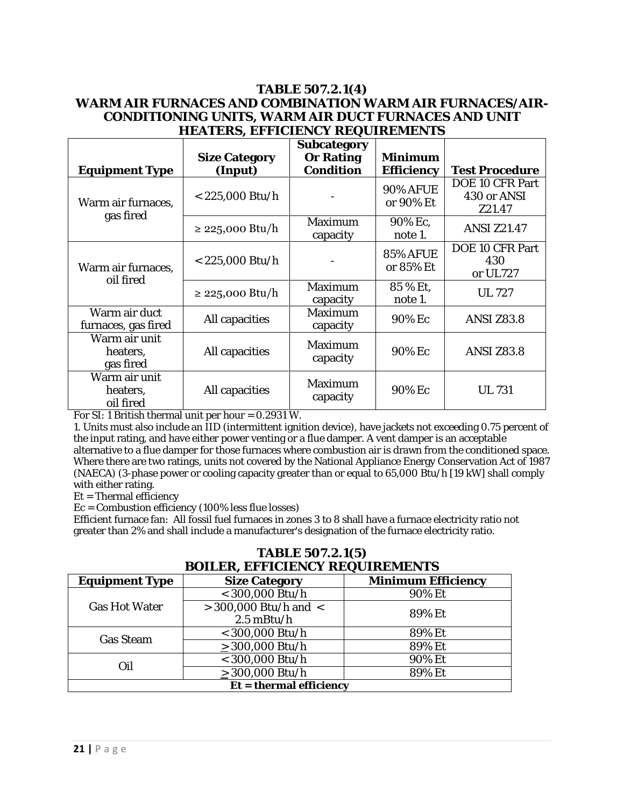#### **TABLE 507.2.1(4) WARM AIR FURNACES AND COMBINATION WARM AIR FURNACES/AIR-CONDITIONING UNITS, WARM AIR DUCT FURNACES AND UNIT HEATERS, EFFICIENCY REQUIREMENTS**

|                                        | <b>Size Category</b> | Subcategory<br><b>Or Rating</b> | <b>Minimum</b>                      |                                                 |
|----------------------------------------|----------------------|---------------------------------|-------------------------------------|-------------------------------------------------|
| <b>Equipment Type</b>                  | (Input)              | <b>Condition</b>                | <b>Efficiency</b>                   | <b>Test Procedure</b>                           |
| Warm air furnaces,<br>gas fired        | $<$ 225,000 Btu/h    |                                 | <b>90% AFUE</b><br>or 90% <i>Et</i> | <b>DOE 10 CFR Part</b><br>430 or ANSI<br>Z21.47 |
|                                        | $\geq$ 225,000 Btu/h | <b>Maximum</b><br>capacity      | 90% Ec.<br>note 1.                  | <b>ANSI Z21.47</b>                              |
| Warm air furnaces,<br>oil fired        | $<$ 225,000 Btu/h    |                                 | <b>85% AFUE</b><br>or 85% Et        | DOE 10 CFR Part<br>430<br>or UL727              |
|                                        | $\geq$ 225,000 Btu/h | <b>Maximum</b><br>capacity      | 85 % Et,<br>note 1.                 | <b>UL 727</b>                                   |
| Warm air duct<br>furnaces, gas fired   | All capacities       | <b>Maximum</b><br>capacity      | 90% Ec                              | <b>ANSI Z83.8</b>                               |
| Warm air unit<br>heaters,<br>gas fired | All capacities       | <b>Maximum</b><br>capacity      | 90% Ec                              | <b>ANSI Z83.8</b>                               |
| Warm air unit<br>heaters,<br>oil fired | All capacities       | <b>Maximum</b><br>capacity      | 90% Ec                              | <b>UL 731</b>                                   |

For SI: 1 British thermal unit per hour = 0.2931 W.

1. Units must also include an IID (intermittent ignition device), have jackets not exceeding 0.75 percent of the input rating, and have either power venting or a flue damper. A vent damper is an acceptable alternative to a flue damper for those furnaces where combustion air is drawn from the conditioned space. Where there are two ratings, units not covered by the National Appliance Energy Conservation Act of 1987 (NAECA) (3-phase power or cooling capacity greater than or equal to 65,000 Btu/h [19 kW] shall comply with either rating.

*Et* = Thermal efficiency

*Ec* = Combustion efficiency (100% less flue losses)

Efficient furnace fan: All fossil fuel furnaces in zones 3 to 8 shall have a furnace electricity ratio not greater than 2% and shall include a manufacturer's designation of the furnace electricity ratio.

| <b>BOILER, EFFICIENCY REQUIREMENTS</b> |                           |                           |
|----------------------------------------|---------------------------|---------------------------|
| <b>Equipment Type</b>                  | <b>Size Category</b>      | <b>Minimum Efficiency</b> |
| <b>Gas Hot Water</b>                   | $<$ 300,000 Btu/h         | 90% Et                    |
|                                        | $>$ 300,000 Btu/h and $<$ | 89% Et                    |
|                                        | $2.5$ mBtu/h              |                           |
| <b>Gas Steam</b>                       | $<$ 300,000 Btu/h         | 89% Et                    |
|                                        | $>$ 300,000 Btu/h         | 89% Et                    |
| Oil                                    | $<$ 300,000 Btu/h         | 90% Et                    |
|                                        | $>$ 300,000 Btu/h         | 89% Et                    |
| $Et =$ thermal efficiency              |                           |                           |

# **TABLE 507.2.1(5)**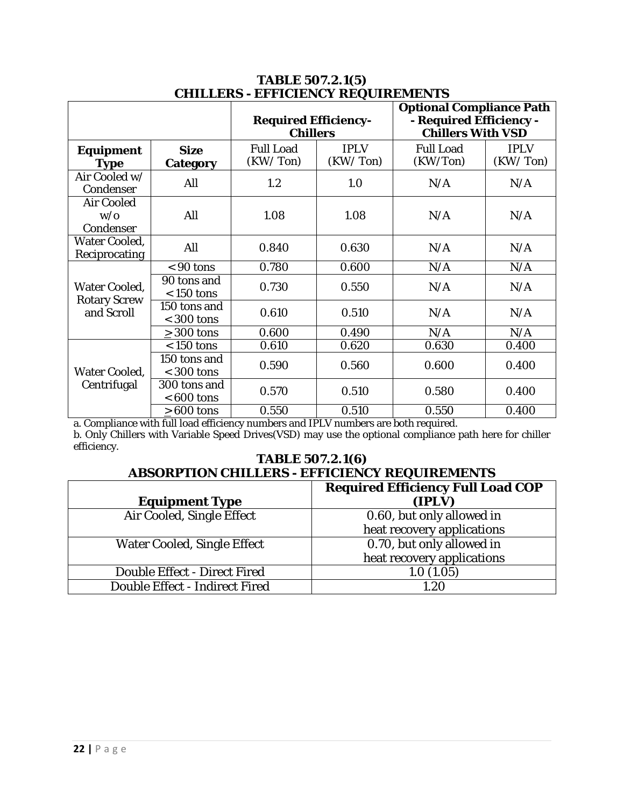| спішшы - егі кішісі кездікеріші р                         |                                |                                                |                         |                                                                                        |                         |
|-----------------------------------------------------------|--------------------------------|------------------------------------------------|-------------------------|----------------------------------------------------------------------------------------|-------------------------|
|                                                           |                                | <b>Required Efficiency-</b><br><b>Chillers</b> |                         | <b>Optional Compliance Path</b><br>- Required Efficiency -<br><b>Chillers With VSD</b> |                         |
| Equipment<br><b>Type</b>                                  | <b>Size</b><br><b>Category</b> | <b>Full Load</b><br>(KW/Ton)                   | <b>IPLV</b><br>(KW/Ton) | <b>Full Load</b><br>(KW/Ton)                                                           | <b>IPLV</b><br>(KW/Ton) |
| Air Cooled w/<br>Condenser                                | All                            | 1.2                                            | 1.0                     | N/A                                                                                    | N/A                     |
| <b>Air Cooled</b><br>W/O<br>Condenser                     | All                            | 1.08                                           | 1.08                    | N/A                                                                                    | N/A                     |
| <b>Water Cooled,</b><br>Reciprocating                     | All                            | 0.840                                          | 0.630                   | N/A                                                                                    | N/A                     |
| <b>Water Cooled,</b><br><b>Rotary Screw</b><br>and Scroll | $<90$ tons                     | 0.780                                          | 0.600                   | N/A                                                                                    | N/A                     |
|                                                           | 90 tons and<br>$< 150$ tons    | 0.730                                          | 0.550                   | N/A                                                                                    | N/A                     |
|                                                           | 150 tons and<br>$<$ 300 tons   | 0.610                                          | 0.510                   | N/A                                                                                    | N/A                     |
|                                                           | $>$ 300 tons                   | 0.600                                          | 0.490                   | N/A                                                                                    | N/A                     |
| <b>Water Cooled,</b><br>Centrifugal                       | $< 150$ tons                   | 0.610                                          | 0.620                   | 0.630                                                                                  | 0.400                   |
|                                                           | 150 tons and<br>$<$ 300 tons   | 0.590                                          | 0.560                   | 0.600                                                                                  | 0.400                   |
|                                                           | 300 tons and<br>$< 600$ tons   | 0.570                                          | 0.510                   | 0.580                                                                                  | 0.400                   |
|                                                           | $>600$ tons                    | 0.550                                          | 0.510                   | 0.550                                                                                  | 0.400                   |

### **TABLE 507.2.1(5) CHILLERS - EFFICIENCY REQUIREMENTS**

a. Compliance with full load efficiency numbers and IPLV numbers are both required. b. Only Chillers with Variable Speed Drives(VSD) may use the optional compliance path here for chiller efficiency.

#### **TABLE 507.2.1(6) ABSORPTION CHILLERS - EFFICIENCY REQUIREMENTS**

|                                     | <b>Required Efficiency Full Load COP</b> |
|-------------------------------------|------------------------------------------|
| <b>Equipment Type</b>               | (IPLV)                                   |
| Air Cooled, Single Effect           | 0.60, but only allowed in                |
|                                     | heat recovery applications               |
| <b>Water Cooled, Single Effect</b>  | 0.70, but only allowed in                |
|                                     | heat recovery applications               |
| <b>Double Effect - Direct Fired</b> | 1.0(1.05)                                |
| Double Effect - Indirect Fired      | 1.20                                     |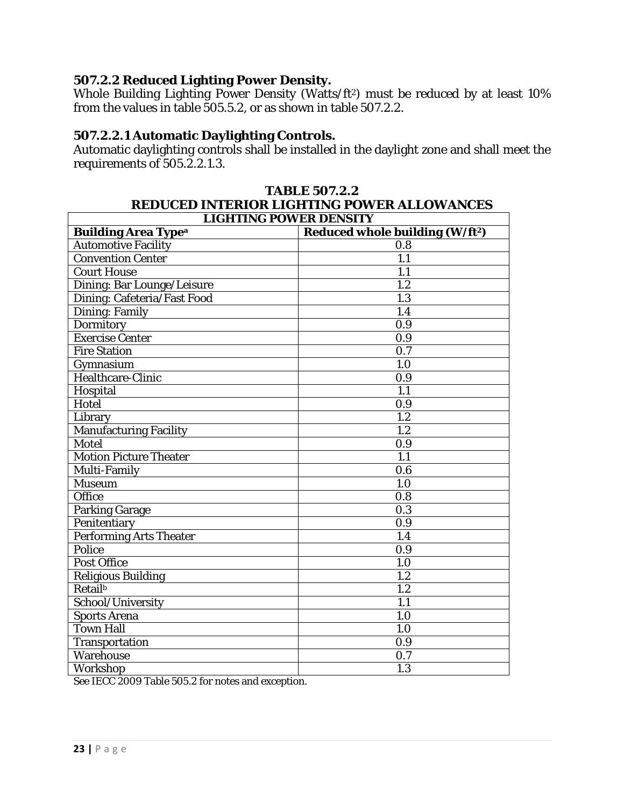## **507.2.2 Reduced Lighting Power Density.**

Whole Building Lighting Power Density (Watts/ft<sup>2</sup>) must be reduced by at least 10% from the values in table 505.5.2, or as shown in table 507.2.2.

## **507.2.2.1 Automatic Daylighting Controls.**

Automatic daylighting controls shall be installed in the daylight zone and shall meet the requirements of 505.2.2.1.3.

| REDUCED INTERIOR LIGHTING POWER ALLOWANCES |                                             |  |
|--------------------------------------------|---------------------------------------------|--|
| <b>LIGHTING POWER DENSITY</b>              |                                             |  |
| <b>Building Area Type<sup>a</sup></b>      | Reduced whole building (W/ft <sup>2</sup> ) |  |
| <b>Automotive Facility</b>                 | 0.8                                         |  |
| <b>Convention Center</b>                   | 1.1                                         |  |
| <b>Court House</b>                         | 1.1                                         |  |
| Dining: Bar Lounge/Leisure                 | 1.2                                         |  |
| Dining: Cafeteria/Fast Food                | 1.3                                         |  |
| <b>Dining: Family</b>                      | 1.4                                         |  |
| Dormitory                                  | 0.9                                         |  |
| <b>Exercise Center</b>                     | 0.9                                         |  |
| <b>Fire Station</b>                        | 0.7                                         |  |
| Gymnasium                                  | 1.0                                         |  |
| Healthcare-Clinic                          | 0.9                                         |  |
| Hospital                                   | 1.1                                         |  |
| Hotel                                      | 0.9                                         |  |
| Library                                    | 1.2                                         |  |
| <b>Manufacturing Facility</b>              | 1.2                                         |  |
| Motel                                      | 0.9                                         |  |
| <b>Motion Picture Theater</b>              | 1.1                                         |  |
| Multi-Family                               | 0.6                                         |  |
| <b>Museum</b>                              | 1.0                                         |  |
| Office                                     | 0.8                                         |  |
| Parking Garage                             | 0.3                                         |  |
| Penitentiary                               | 0.9                                         |  |
| <b>Performing Arts Theater</b>             | 1.4                                         |  |
| Police                                     | 0.9                                         |  |
| <b>Post Office</b>                         | 1.0                                         |  |
| <b>Religious Building</b>                  | 1.2                                         |  |
| <b>Retail</b> <sup>b</sup>                 | 1.2                                         |  |
| School/University                          | 1.1                                         |  |
| <b>Sports Arena</b>                        | 1.0                                         |  |
| <b>Town Hall</b>                           | 1.0                                         |  |
| Transportation                             | 0.9                                         |  |
| Warehouse                                  | 0.7                                         |  |
| Workshop                                   | 1.3                                         |  |

# **TABLE 507.2.2 REDUCED INTERIOR LIGHTING POWER ALLOWANCES**

See IECC 2009 Table 505.2 for notes and exception.